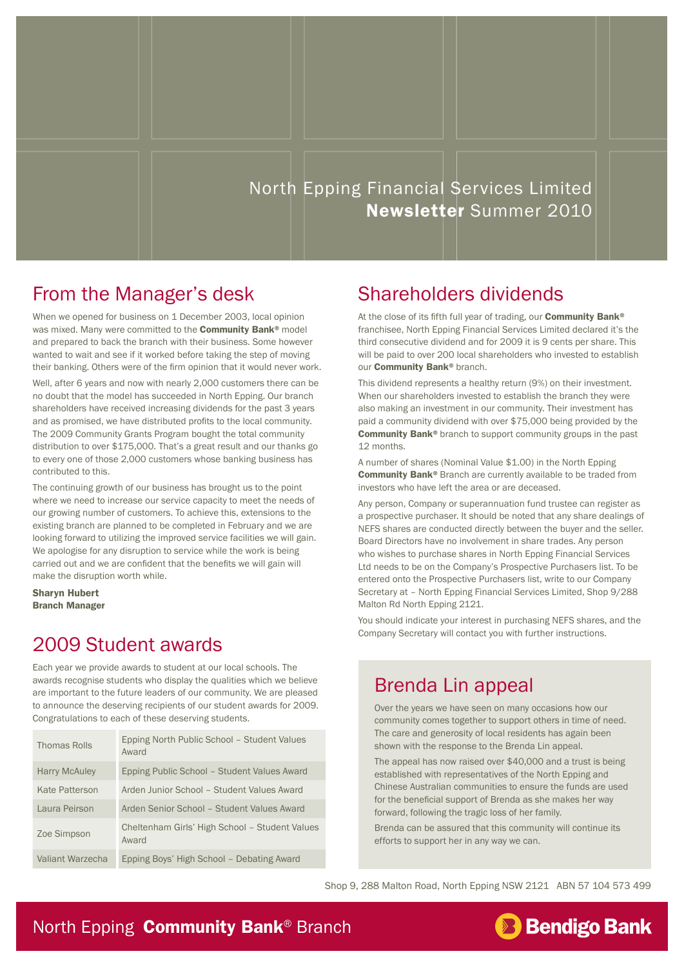### North Epping Financial Services Limited Newsletter Summer 2010

### From the Manager's desk

When we opened for business on 1 December 2003, local opinion was mixed. Many were committed to the **Community Bank**<sup>®</sup> model and prepared to back the branch with their business. Some however wanted to wait and see if it worked before taking the step of moving their banking. Others were of the firm opinion that it would never work.

Well, after 6 years and now with nearly 2,000 customers there can be no doubt that the model has succeeded in North Epping. Our branch shareholders have received increasing dividends for the past 3 years and as promised, we have distributed profits to the local community. The 2009 Community Grants Program bought the total community distribution to over \$175,000. That's a great result and our thanks go to every one of those 2,000 customers whose banking business has contributed to this.

The continuing growth of our business has brought us to the point where we need to increase our service capacity to meet the needs of our growing number of customers. To achieve this, extensions to the existing branch are planned to be completed in February and we are looking forward to utilizing the improved service facilities we will gain. We apologise for any disruption to service while the work is being carried out and we are confident that the benefits we will gain will make the disruption worth while.

Sharyn Hubert Branch Manager

#### 2009 Student awards

Each year we provide awards to student at our local schools. The awards recognise students who display the qualities which we believe are important to the future leaders of our community. We are pleased to announce the deserving recipients of our student awards for 2009. Congratulations to each of these deserving students.

| Thomas Rolls         | Epping North Public School - Student Values<br>Award    |
|----------------------|---------------------------------------------------------|
| <b>Harry McAuley</b> | Epping Public School – Student Values Award             |
| Kate Patterson       | Arden Junior School - Student Values Award              |
| Laura Peirson        | Arden Senior School - Student Values Award              |
| Zoe Simpson          | Cheltenham Girls' High School - Student Values<br>Award |
| Valiant Warzecha     | Epping Boys' High School - Debating Award               |

### Shareholders dividends

At the close of its fifth full year of trading, our **Community Bank®** franchisee, North Epping Financial Services Limited declared it's the third consecutive dividend and for 2009 it is 9 cents per share. This will be paid to over 200 local shareholders who invested to establish our **Community Bank®** branch.

This dividend represents a healthy return (9%) on their investment. When our shareholders invested to establish the branch they were also making an investment in our community. Their investment has paid a community dividend with over \$75,000 being provided by the Community Bank<sup>®</sup> branch to support community groups in the past 12 months.

A number of shares (Nominal Value \$1.00) in the North Epping Community Bank® Branch are currently available to be traded from investors who have left the area or are deceased.

Any person, Company or superannuation fund trustee can register as a prospective purchaser. It should be noted that any share dealings of NEFS shares are conducted directly between the buyer and the seller. Board Directors have no involvement in share trades. Any person who wishes to purchase shares in North Epping Financial Services Ltd needs to be on the Company's Prospective Purchasers list. To be entered onto the Prospective Purchasers list, write to our Company Secretary at – North Epping Financial Services Limited, Shop 9/288 Malton Rd North Epping 2121.

You should indicate your interest in purchasing NEFS shares, and the Company Secretary will contact you with further instructions.

#### Brenda Lin appeal

Over the years we have seen on many occasions how our community comes together to support others in time of need. The care and generosity of local residents has again been shown with the response to the Brenda Lin appeal.

The appeal has now raised over \$40,000 and a trust is being established with representatives of the North Epping and Chinese Australian communities to ensure the funds are used for the beneficial support of Brenda as she makes her way forward, following the tragic loss of her family.

Brenda can be assured that this community will continue its efforts to support her in any way we can.

**Bendigo Bank** 

Shop 9, 288 Malton Road, North Epping NSW 2121 ABN 57 104 573 499

#### North Epping **Community Bank® Branch**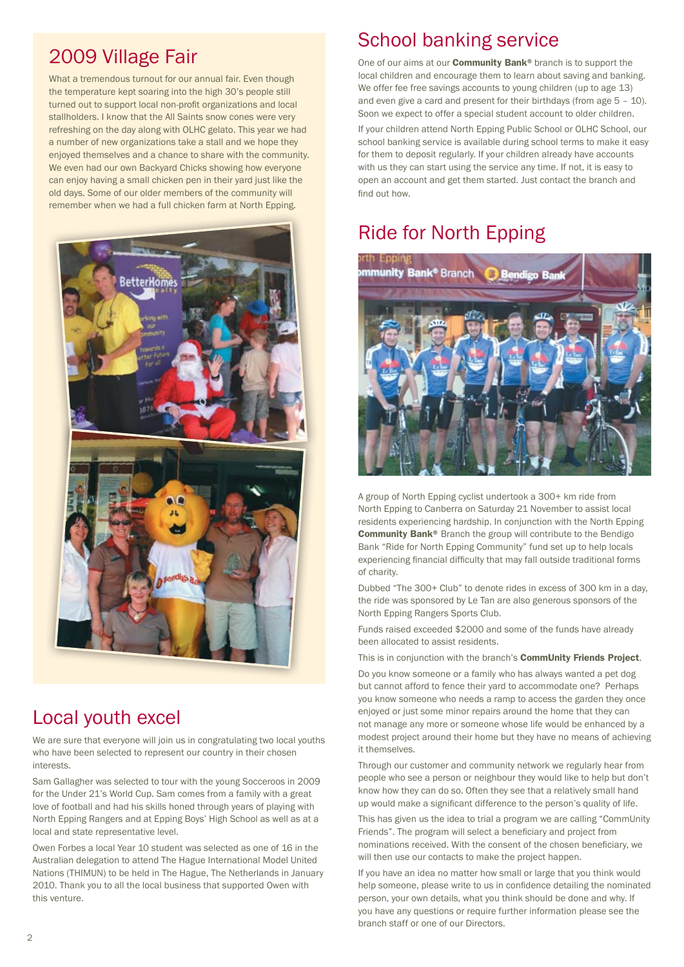### 2009 Village Fair

What a tremendous turnout for our annual fair. Even though the temperature kept soaring into the high 30's people still turned out to support local non-profit organizations and local stallholders. I know that the All Saints snow cones were very refreshing on the day along with OLHC gelato. This year we had a number of new organizations take a stall and we hope they enjoyed themselves and a chance to share with the community. We even had our own Backyard Chicks showing how everyone can enjoy having a small chicken pen in their yard just like the old days. Some of our older members of the community will remember when we had a full chicken farm at North Epping.



#### Local youth excel

We are sure that everyone will join us in congratulating two local youths who have been selected to represent our country in their chosen interests.

Sam Gallagher was selected to tour with the young Socceroos in 2009 for the Under 21's World Cup. Sam comes from a family with a great love of football and had his skills honed through years of playing with North Epping Rangers and at Epping Boys' High School as well as at a local and state representative level.

Owen Forbes a local Year 10 student was selected as one of 16 in the Australian delegation to attend The Hague International Model United Nations (THIMUN) to be held in The Hague, The Netherlands in January 2010. Thank you to all the local business that supported Owen with this venture.

### School banking service

One of our aims at our **Community Bank®** branch is to support the local children and encourage them to learn about saving and banking. We offer fee free savings accounts to young children (up to age 13) and even give a card and present for their birthdays (from age 5 – 10). Soon we expect to offer a special student account to older children.

If your children attend North Epping Public School or OLHC School, our school banking service is available during school terms to make it easy for them to deposit regularly. If your children already have accounts with us they can start using the service any time. If not, it is easy to open an account and get them started. Just contact the branch and find out how.

### Ride for North Epping



A group of North Epping cyclist undertook a 300+ km ride from North Epping to Canberra on Saturday 21 November to assist local residents experiencing hardship. In conjunction with the North Epping Community Bank® Branch the group will contribute to the Bendigo Bank "Ride for North Epping Community" fund set up to help locals experiencing financial difficulty that may fall outside traditional forms of charity.

Dubbed "The 300+ Club" to denote rides in excess of 300 km in a day, the ride was sponsored by Le Tan are also generous sponsors of the North Epping Rangers Sports Club.

Funds raised exceeded \$2000 and some of the funds have already been allocated to assist residents.

This is in conjunction with the branch's **CommUnity Friends Project**.

Do you know someone or a family who has always wanted a pet dog but cannot afford to fence their yard to accommodate one? Perhaps you know someone who needs a ramp to access the garden they once enjoyed or just some minor repairs around the home that they can not manage any more or someone whose life would be enhanced by a modest project around their home but they have no means of achieving it themselves.

Through our customer and community network we regularly hear from people who see a person or neighbour they would like to help but don't know how they can do so. Often they see that a relatively small hand up would make a significant difference to the person's quality of life.

This has given us the idea to trial a program we are calling "CommUnity Friends". The program will select a beneficiary and project from nominations received. With the consent of the chosen beneficiary, we will then use our contacts to make the project happen.

If you have an idea no matter how small or large that you think would help someone, please write to us in confidence detailing the nominated person, your own details, what you think should be done and why. If you have any questions or require further information please see the branch staff or one of our Directors.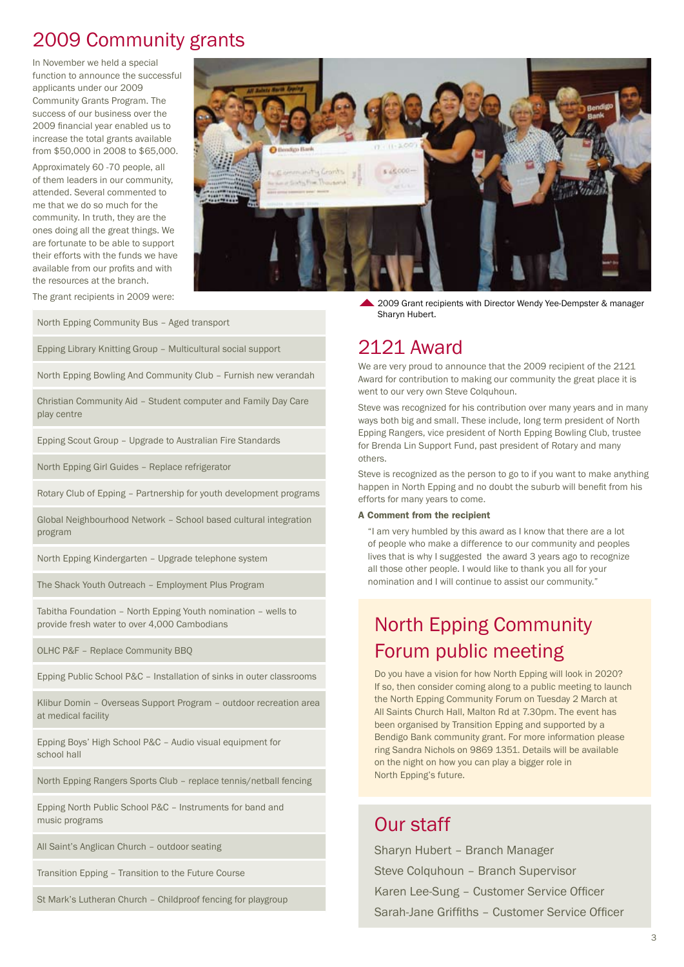### 2009 Community grants

In November we held a special function to announce the successful applicants under our 2009 Community Grants Program. The success of our business over the 2009 financial year enabled us to increase the total grants available from \$50,000 in 2008 to \$65,000.

Approximately 60 -70 people, all of them leaders in our community, attended. Several commented to me that we do so much for the community. In truth, they are the ones doing all the great things. We are fortunate to be able to support their efforts with the funds we have available from our profits and with the resources at the branch.



The grant recipients in 2009 were:

North Epping Community Bus – Aged transport

Epping Library Knitting Group – Multicultural social support

North Epping Bowling And Community Club – Furnish new verandah

Christian Community Aid – Student computer and Family Day Care play centre

Epping Scout Group – Upgrade to Australian Fire Standards

North Epping Girl Guides – Replace refrigerator

Rotary Club of Epping – Partnership for youth development programs

Global Neighbourhood Network – School based cultural integration program

North Epping Kindergarten – Upgrade telephone system

The Shack Youth Outreach – Employment Plus Program

Tabitha Foundation – North Epping Youth nomination – wells to provide fresh water to over 4,000 Cambodians

OLHC P&F – Replace Community BBQ

Epping Public School P&C – Installation of sinks in outer classrooms

Klibur Domin – Overseas Support Program – outdoor recreation area at medical facility

Epping Boys' High School P&C – Audio visual equipment for school hall

North Epping Rangers Sports Club – replace tennis/netball fencing

Epping North Public School P&C – Instruments for band and music programs

All Saint's Anglican Church – outdoor seating

Transition Epping – Transition to the Future Course

St Mark's Lutheran Church – Childproof fencing for playgroup

2009 Grant recipients with Director Wendy Yee-Dempster & manager Sharyn Hubert.

#### 2121 Award

We are very proud to announce that the 2009 recipient of the 2121 Award for contribution to making our community the great place it is went to our very own Steve Colquhoun.

Steve was recognized for his contribution over many years and in many ways both big and small. These include, long term president of North Epping Rangers, vice president of North Epping Bowling Club, trustee for Brenda Lin Support Fund, past president of Rotary and many others.

Steve is recognized as the person to go to if you want to make anything happen in North Epping and no doubt the suburb will benefit from his efforts for many years to come.

#### A Comment from the recipient

"I am very humbled by this award as I know that there are a lot of people who make a difference to our community and peoples lives that is why I suggested the award 3 years ago to recognize all those other people. I would like to thank you all for your nomination and I will continue to assist our community."

### North Epping Community Forum public meeting

Do you have a vision for how North Epping will look in 2020? If so, then consider coming along to a public meeting to launch the North Epping Community Forum on Tuesday 2 March at All Saints Church Hall, Malton Rd at 7.30pm. The event has been organised by Transition Epping and supported by a Bendigo Bank community grant. For more information please ring Sandra Nichols on 9869 1351. Details will be available on the night on how you can play a bigger role in North Epping's future.

#### Our staff

Sharyn Hubert – Branch Manager Steve Colquhoun – Branch Supervisor Karen Lee-Sung – Customer Service Officer Sarah-Jane Griffiths – Customer Service Officer